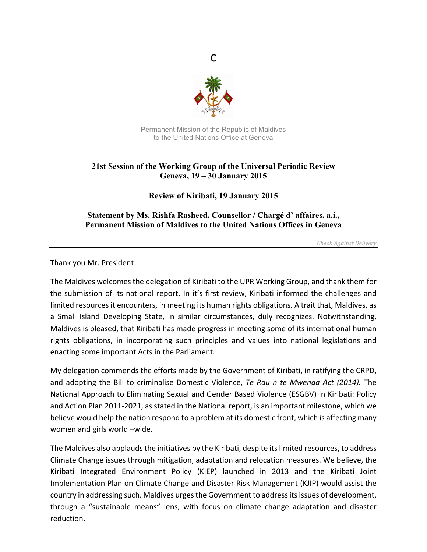

c

Permanent Mission of the Republic of Maldives to the United Nations Office at Geneva

## **21st Session of the Working Group of the Universal Periodic Review Geneva, 19 – 30 January 2015**

**Review of Kiribati, 19 January 2015**

**Statement by Ms. Rishfa Rasheed, Counsellor / Chargé d' affaires, a.i., Permanent Mission of Maldives to the United Nations Offices in Geneva**

*Check Against Delivery*

Thank you Mr. President

The Maldives welcomes the delegation of Kiribati to the UPR Working Group, and thank them for the submission of its national report. In it's first review, Kiribati informed the challenges and limited resources it encounters, in meeting its human rights obligations. A trait that, Maldives, as a Small Island Developing State, in similar circumstances, duly recognizes. Notwithstanding, Maldives is pleased, that Kiribati has made progress in meeting some of its international human rights obligations, in incorporating such principles and values into national legislations and enacting some important Acts in the Parliament.

My delegation commends the efforts made by the Government of Kiribati, in ratifying the CRPD, and adopting the Bill to criminalise Domestic Violence, *Te Rau n te Mwenga Act (2014)*. The National Approach to Eliminating Sexual and Gender Based Violence (ESGBV) in Kiribati: Policy and Action Plan 2011-2021, as stated in the National report, is an important milestone, which we believe would help the nation respond to a problem at its domestic front, which is affecting many women and girls world -wide.

The Maldives also applauds the initiatives by the Kiribati, despite its limited resources, to address Climate Change issues through mitigation, adaptation and relocation measures. We believe, the Kiribati Integrated Environment Policy (KIEP) launched in 2013 and the Kiribati Joint Implementation Plan on Climate Change and Disaster Risk Management (KJIP) would assist the country in addressing such. Maldives urges the Government to address its issues of development, through a "sustainable means" lens, with focus on climate change adaptation and disaster reduction.